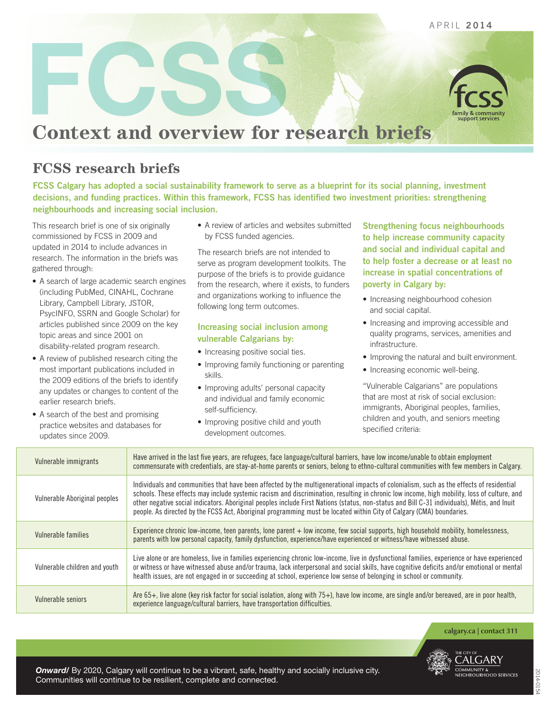

APRIL 2014

## **Context and overview for research briefs**

## **FCSS research briefs**

FCSS Calgary has adopted a social sustainability framework to serve as a blueprint for its social planning, investment decisions, and funding practices. Within this framework, FCSS has identified two investment priorities: strengthening neighbourhoods and increasing social inclusion.

This research brief is one of six originally commissioned by FCSS in 2009 and updated in 2014 to include advances in research. The information in the briefs was gathered through:

- A search of large academic search engines (including PubMed, CINAHL, Cochrane Library, Campbell Library, JSTOR, PsycINFO, SSRN and Google Scholar) for articles published since 2009 on the key topic areas and since 2001 on disability-related program research.
- A review of published research citing the most important publications included in the 2009 editions of the briefs to identify any updates or changes to content of the earlier research briefs.
- A search of the best and promising practice websites and databases for updates since 2009.

• A review of articles and websites submitted by FCSS funded agencies.

The research briefs are not intended to serve as program development toolkits. The purpose of the briefs is to provide guidance from the research, where it exists, to funders and organizations working to influence the following long term outcomes.

## Increasing social inclusion among vulnerable Calgarians by:

- Increasing positive social ties.
- Improving family functioning or parenting skills.
- Improving adults' personal capacity and individual and family economic self-sufficiency.
- Improving positive child and youth development outcomes.

Strengthening focus neighbourhoods to help increase community capacity and social and individual capital and to help foster a decrease or at least no increase in spatial concentrations of poverty in Calgary by:

- Increasing neighbourhood cohesion and social capital.
- Increasing and improving accessible and quality programs, services, amenities and infrastructure.
- Improving the natural and built environment.
- Increasing economic well-being.

"Vulnerable Calgarians" are populations that are most at risk of social exclusion: immigrants, Aboriginal peoples, families, children and youth, and seniors meeting specified criteria:

| Vulnerable immigrants         | Have arrived in the last five years, are refugees, face language/cultural barriers, have low income/unable to obtain employment<br>commensurate with credentials, are stay-at-home parents or seniors, belong to ethno-cultural communities with few members in Calgary.                                                                                                                                                                                                                                                                                      |
|-------------------------------|---------------------------------------------------------------------------------------------------------------------------------------------------------------------------------------------------------------------------------------------------------------------------------------------------------------------------------------------------------------------------------------------------------------------------------------------------------------------------------------------------------------------------------------------------------------|
| Vulnerable Aboriginal peoples | Individuals and communities that have been affected by the multigenerational impacts of colonialism, such as the effects of residential<br>schools. These effects may include systemic racism and discrimination, resulting in chronic low income, high mobility, loss of culture, and<br>other negative social indicators. Aboriginal peoples include First Nations (status, non-status and Bill C-31 individuals), Métis, and Inuit<br>people. As directed by the FCSS Act, Aboriginal programming must be located within City of Calgary (CMA) boundaries. |
| Vulnerable families           | Experience chronic low-income, teen parents, lone parent + low income, few social supports, high household mobility, homelessness,<br>parents with low personal capacity, family dysfunction, experience/have experienced or witness/have witnessed abuse.                                                                                                                                                                                                                                                                                                    |
| Vulnerable children and youth | Live alone or are homeless, live in families experiencing chronic low-income, live in dysfunctional families, experience or have experienced<br>or witness or have witnessed abuse and/or trauma, lack interpersonal and social skills, have cognitive deficits and/or emotional or mental<br>health issues, are not engaged in or succeeding at school, experience low sense of belonging in school or community.                                                                                                                                            |
| Vulnerable seniors            | Are 65+, live alone (key risk factor for social isolation, along with 75+), have low income, are single and/or bereaved, are in poor health,<br>experience language/cultural barriers, have transportation difficulties.                                                                                                                                                                                                                                                                                                                                      |

**calgary.ca | contact 311**



*Onward/* By 2020, Calgary will continue to be a vibrant, safe, healthy and socially inclusive city. Communities will continue to be resilient, complete and connected.